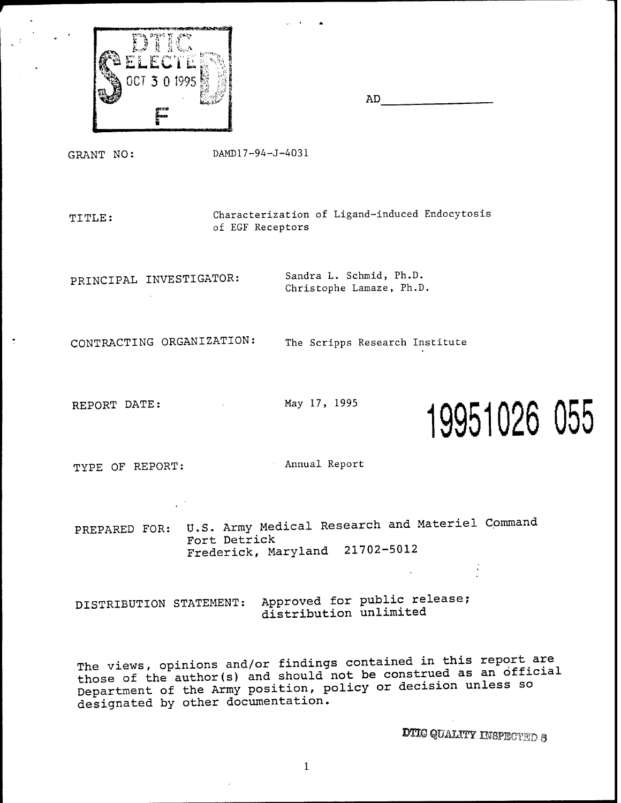

 $AD$ 

GRANT NO:

DAMD17-94-J-4031

Characterization of Ligand-induced Endocytosis TITLE: of EGF Receptors

PRINCIPAL INVESTIGATOR:

Sandra L. Schmid, Ph.D. Christophe Lamaze, Ph.D.

CONTRACTING ORGANIZATION:

The Scripps Research Institute

REPORT DATE:

May 17, 1995



TYPE OF REPORT:

Annual Report

PREPARED FOR: U.S. Army Medical Research and Materiel Command Fort Detrick Frederick, Maryland 21702-5012

Approved for public release; DISTRIBUTION STATEMENT: distribution unlimited

The views, opinions and/or findings contained in this report are those of the author(s) and should not be construed as an official Department of the Army position, policy or decision unless so designated by other documentation.

**DTIC QUALITY INSPECTED 3**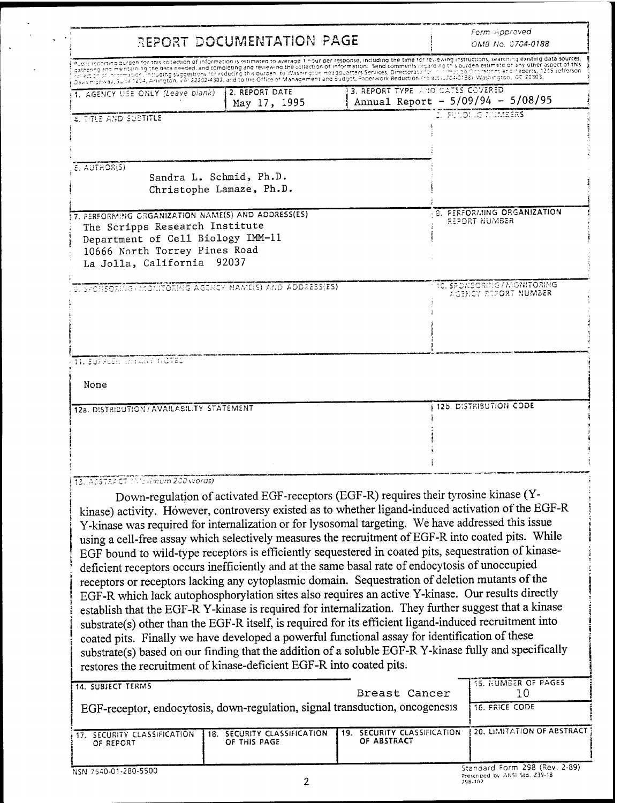| REPORT DOCUMENTATION PAGE                                                                                                                                                                                                                                                                                                                                                                                                                                                                                                                                                                                                                                                                                                                                                                                                                                                                                                                                                                                                                                                                                                                                                                                                                                                                             |                                                                                       |  |                                  | Form Approved<br>OMB No. 0704-0188                  |  |
|-------------------------------------------------------------------------------------------------------------------------------------------------------------------------------------------------------------------------------------------------------------------------------------------------------------------------------------------------------------------------------------------------------------------------------------------------------------------------------------------------------------------------------------------------------------------------------------------------------------------------------------------------------------------------------------------------------------------------------------------------------------------------------------------------------------------------------------------------------------------------------------------------------------------------------------------------------------------------------------------------------------------------------------------------------------------------------------------------------------------------------------------------------------------------------------------------------------------------------------------------------------------------------------------------------|---------------------------------------------------------------------------------------|--|----------------------------------|-----------------------------------------------------|--|
| Public reporting burden for this collection of information is estimated to average 1 nour ber response, including the time for reviewing instructions, searching existing data sources,<br>gathering and maintaining the data needed, and completing and reviewing the collection of information. Send comments regarding this burden estimate or any other aspect of this<br>Silection of Information, Including suggestions for reducing this burden. to Washington Headquarters Services, Directorate Toring Trimation Orbrestions and Peports, 1215 Jefferson<br>Davis Highway, Suita 1204, Anington, VA 22202-4302, and to the Office of Management and Budget, Paperwork Reduction Project (3704-0138), Washington, DC 20503.                                                                                                                                                                                                                                                                                                                                                                                                                                                                                                                                                                   |                                                                                       |  |                                  |                                                     |  |
| 1. AGENCY USE ONLY (Leave blank)                                                                                                                                                                                                                                                                                                                                                                                                                                                                                                                                                                                                                                                                                                                                                                                                                                                                                                                                                                                                                                                                                                                                                                                                                                                                      | 2. REPORT DATE<br>May 17, 1995                                                        |  | 3. REPORT TYPE AND CATES COVERED | Annual Report - 5/09/94 - 5/08/95                   |  |
| <b>4. TITLE AND SUBTITLE</b>                                                                                                                                                                                                                                                                                                                                                                                                                                                                                                                                                                                                                                                                                                                                                                                                                                                                                                                                                                                                                                                                                                                                                                                                                                                                          |                                                                                       |  |                                  | <b>J. FUNDING NUMBERS</b>                           |  |
| $E.$ AUTHOR(5)<br>Sandra L. Schmid, Ph.D.<br>Christophe Lamaze, Ph.D.                                                                                                                                                                                                                                                                                                                                                                                                                                                                                                                                                                                                                                                                                                                                                                                                                                                                                                                                                                                                                                                                                                                                                                                                                                 |                                                                                       |  |                                  |                                                     |  |
| 7. PERFORMING ORGANIZATION NAME(S) AND ADDRESS(ES)<br>The Scripps Research Institute<br>Department of Cell Biology IMM-11<br>10666 North Torrey Pines Road<br>La Jolla, California 92037                                                                                                                                                                                                                                                                                                                                                                                                                                                                                                                                                                                                                                                                                                                                                                                                                                                                                                                                                                                                                                                                                                              |                                                                                       |  |                                  | 8. PERFORMING ORGANIZATION<br>REPORT NUMBER         |  |
| S. SPONSOFING/PROTIITORING AGENCY NAME(S) AND ADDRESS(ES)                                                                                                                                                                                                                                                                                                                                                                                                                                                                                                                                                                                                                                                                                                                                                                                                                                                                                                                                                                                                                                                                                                                                                                                                                                             |                                                                                       |  |                                  | 10. SPONSORING / MONITORING<br>AGENCY PEPORT NUMBER |  |
| 11. Süpper: Chiany A <b>OTES</b>                                                                                                                                                                                                                                                                                                                                                                                                                                                                                                                                                                                                                                                                                                                                                                                                                                                                                                                                                                                                                                                                                                                                                                                                                                                                      |                                                                                       |  |                                  |                                                     |  |
| None                                                                                                                                                                                                                                                                                                                                                                                                                                                                                                                                                                                                                                                                                                                                                                                                                                                                                                                                                                                                                                                                                                                                                                                                                                                                                                  |                                                                                       |  |                                  |                                                     |  |
| 12a. DISTRIBUTION / AVAILABILITY STATEMENT                                                                                                                                                                                                                                                                                                                                                                                                                                                                                                                                                                                                                                                                                                                                                                                                                                                                                                                                                                                                                                                                                                                                                                                                                                                            |                                                                                       |  |                                  | 12b. DISTRIBUTION CODE                              |  |
|                                                                                                                                                                                                                                                                                                                                                                                                                                                                                                                                                                                                                                                                                                                                                                                                                                                                                                                                                                                                                                                                                                                                                                                                                                                                                                       |                                                                                       |  |                                  |                                                     |  |
|                                                                                                                                                                                                                                                                                                                                                                                                                                                                                                                                                                                                                                                                                                                                                                                                                                                                                                                                                                                                                                                                                                                                                                                                                                                                                                       |                                                                                       |  |                                  |                                                     |  |
|                                                                                                                                                                                                                                                                                                                                                                                                                                                                                                                                                                                                                                                                                                                                                                                                                                                                                                                                                                                                                                                                                                                                                                                                                                                                                                       |                                                                                       |  |                                  |                                                     |  |
| 13. ABSTRACT (Weximum 200 words)<br>kinase) activity. However, controversy existed as to whether ligand-induced activation of the EGF-R<br>Y-kinase was required for internalization or for lysosomal targeting. We have addressed this issue<br>using a cell-free assay which selectively measures the recruitment of EGF-R into coated pits. While<br>EGF bound to wild-type receptors is efficiently sequestered in coated pits, sequestration of kinase-<br>deficient receptors occurs inefficiently and at the same basal rate of endocytosis of unoccupied<br>receptors or receptors lacking any cytoplasmic domain. Sequestration of deletion mutants of the<br>EGF-R which lack autophosphorylation sites also requires an active Y-kinase. Our results directly<br>establish that the EGF-R Y-kinase is required for internalization. They further suggest that a kinase<br>substrate(s) other than the EGF-R itself, is required for its efficient ligand-induced recruitment into<br>coated pits. Finally we have developed a powerful functional assay for identification of these<br>substrate(s) based on our finding that the addition of a soluble EGF-R Y-kinase fully and specifically<br>restores the recruitment of kinase-deficient EGF-R into coated pits.<br>14. SUBJECT TERMS | Down-regulation of activated EGF-receptors (EGF-R) requires their tyrosine kinase (Y- |  | Breast Cancer                    | <b>15. NUMBER OF PAGES</b><br>10                    |  |
| EGF-receptor, endocytosis, down-regulation, signal transduction, oncogenesis<br>17. SECURITY CLASSIFICATION                                                                                                                                                                                                                                                                                                                                                                                                                                                                                                                                                                                                                                                                                                                                                                                                                                                                                                                                                                                                                                                                                                                                                                                           | 18. SECURITY CLASSIFICATION                                                           |  | 19. SECURITY CLASSIFICATION      | <b>16. FRICE CODE</b><br>20. LIMITATION OF ABSTRACT |  |

 $\mathbb{R}^2$ 

 $\ddot{\phantom{a}}$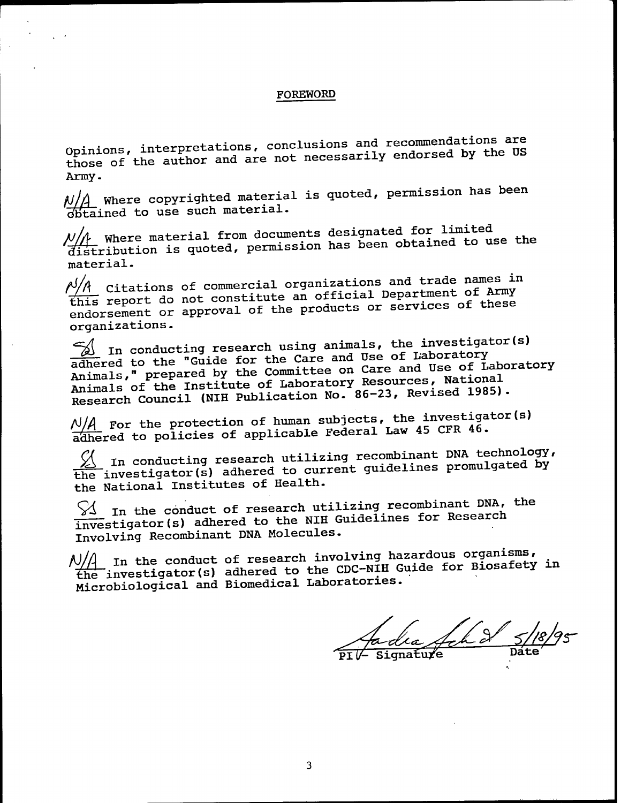#### **FOREWORD**

Opinions, interpretations, conclusions and recommendations are those of the author and are not necessarily endorsed by the US Army.

 $N/\!\!/$  Where copyrighted material is quoted, permission has been obtained to use such material.

 $\mathcal{N}/\mathcal{N}$  Where material from documents designated for limited distribution is quoted, permission has been obtained to use the material.

 $\frac{\rho/\Lambda}{\Lambda}$  Citations of commercial organizations and trade names in this report do not constitute an official Department of Army endorsement or approval of the products or services of these organizations.

. In conducting research using animals, the investigator(s) adhered to the "Guide for the Care and Use of Laboratory Animals," prepared by the Committee on Care and Use of Laboratory Animals of the Institute of Laboratory Resources, National Research Council (NIH Publication No. 86-23, Revised 1985).

 $\frac{N}{A}$  For the protection of human subjects, the investigator(s) adhered to policies of applicable Federal Law 45 CFR 46.

 $\frac{1}{2}$  In conducting research utilizing recombinant DNA technology, the investigator (s) adhered to current guidelines promulgated by the National Institutes of Health.

 $\%$  In the conduct of research utilizing recombinant DNA, the investigator(s) adhered to the NIH Guidelines for Research Involving Recombinant DNA Molecules.

A)/A In the conduct of research involving hazardous organisms,<br>the investigator(s) adhered to the CDC-NIH Guide for Biosafety in Microbiological and Biomedical Laboratories.

 $\frac{1}{2}$  and  $\frac{1}{2}$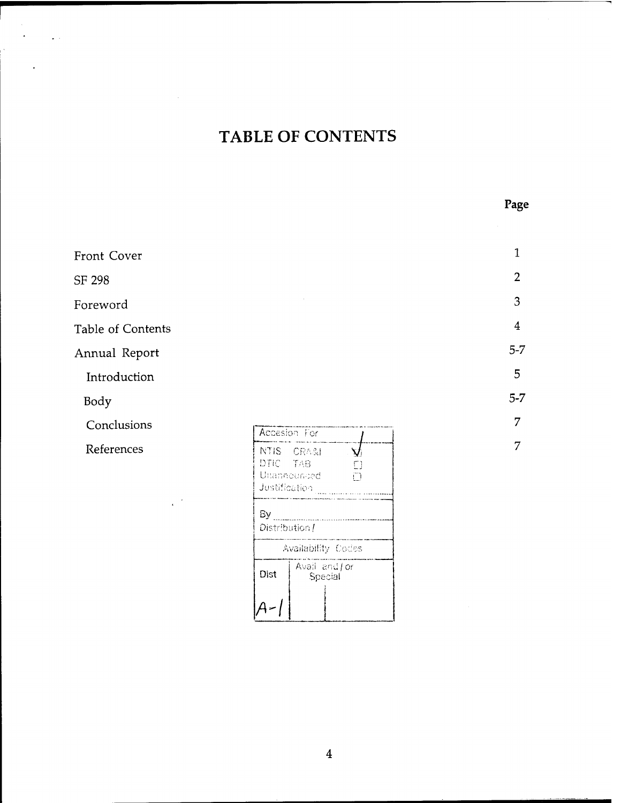# TABLE OF CONTENTS

Page

 $\sim 10^{-10}$ 

 $\mathcal{L}^{\text{max}}$ 

 $\mathcal{L}^{(1)}$ 

 $\mathcal{A}$ 

| Front Cover       |                                                                                    | $\mathbf{1}$   |
|-------------------|------------------------------------------------------------------------------------|----------------|
| SF 298            |                                                                                    | $\overline{2}$ |
| Foreword          |                                                                                    | 3              |
| Table of Contents |                                                                                    | $\overline{4}$ |
| Annual Report     |                                                                                    | $5-7$          |
| Introduction      |                                                                                    | 5              |
| Body              |                                                                                    | $5-7$          |
| Conclusions       | Accesion For                                                                       | 7              |
| References        | NTIS CRASI<br>$\Delta$<br>DTIC TAB<br>$\Box$<br>Unannounced<br>ŕ٦<br>Justification | 7              |
|                   | By<br>Distribution /<br>Availability Codes<br>Avail and / or<br>Dist<br>Special    |                |

 $\overline{4}$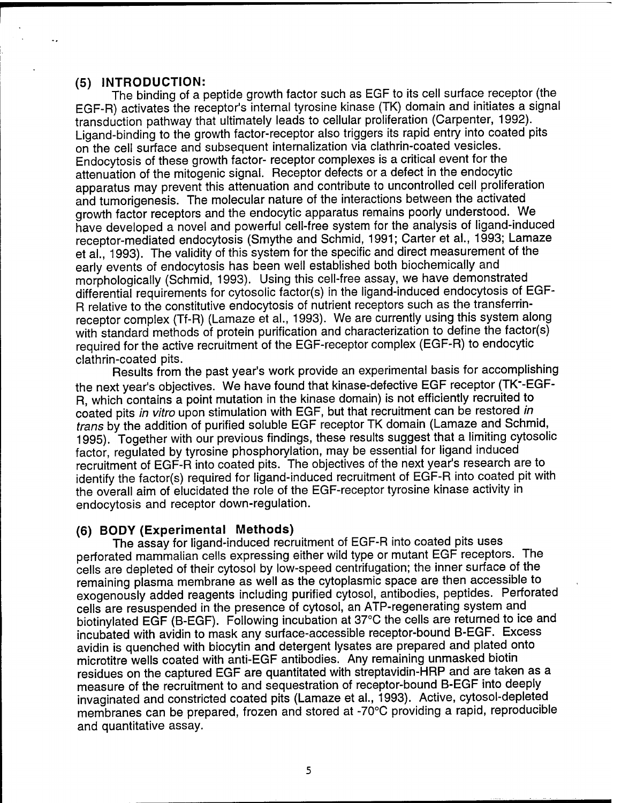#### **(5) INTRODUCTION:**

The binding of a peptide growth factor such as EGF to its cell surface receptor (the EGF-R) activates the receptor's internal tyrosine kinase (TK) domain and initiates a signal transduction pathway that ultimately leads to cellular proliferation (Carpenter, 1992). Ligand-binding to the growth factor-receptor also triggers its rapid entry into coated pits on the cell surface and subsequent internalization via clathrin-coated vesicles. Endocytosis of these growth factor- receptor complexes is a critical event for the attenuation of the mitogenic signal. Receptor defects or a defect in the endocytic apparatus may prevent this attenuation and contribute to uncontrolled cell proliferation and tumorigenesis. The molecular nature of the interactions between the activated growth factor receptors and the endocytic apparatus remains poorly understood. We have developed a novel and powerful cell-free system for the analysis of ligand-induced receptor-mediated endocytosis (Smythe and Schmid, 1991; Carter et al., 1993; Lamaze et al., 1993). The validity of this system for the specific and direct measurement of the early events of endocytosis has been well established both biochemically and morphologically (Schmid, 1993). Using this cell-free assay, we have demonstrated differential requirements for cytosolic factor(s) in the ligand-induced endocytosis of EGF-R relative to the constitutive endocytosis of nutrient receptors such as the transferrinreceptor complex (Tf-R) (Lamaze et al., 1993). We are currently using this system along with standard methods of protein purification and characterization to define the factor(s) required for the active recruitment of the EGF-receptor complex (EGF-R) to endocytic clathrin-coated pits.

Results from the past year's work provide an experimental basis for accomplishing the next year's objectives. We have found that kinase-defective EGF receptor (TK"-EGF-R, which contains a point mutation in the kinase domain) is not efficiently recruited to coated pits *in vitro* upon stimulation with EGF, but that recruitment can be restored *in trans* by the addition of purified soluble EGF receptor TK domain (Lamaze and Schmid, 1995). Together with our previous findings, these results suggest that a limiting cytosolic factor, regulated by tyrosine phosphorylation, may be essential for ligand induced recruitment of EGF-R into coated pits. The objectives of the next year's research are to identify the factor(s) required for ligand-induced recruitment of EGF-R into coated pit with the overall aim of elucidated the role of the EGF-receptor tyrosine kinase activity in endocytosis and receptor down-regulation.

#### **(6) BODY (Experimental Methods)**

The assay for ligand-induced recruitment of EGF-R into coated pits uses perforated mammalian cells expressing either wild type or mutant EGF receptors. The cells are depleted of their cytosol by low-speed centrifugation; the inner surface of the remaining plasma membrane as well as the cytoplasmic space are then accessible to exogenously added reagents including purified cytosol, antibodies, peptides. Perforated cells are resuspended in the presence of cytosol, an ATP-regenerating system and biotinylated EGF (B-EGF). Following incubation at 37°C the cells are returned to ice and incubated with avidin to mask any surface-accessible receptor-bound B-EGF. Excess avidin is quenched with biocytin and detergent lysates are prepared and plated onto microtitre wells coated with anti-EGF antibodies. Any remaining unmasked biotin residues on the captured EGF are quantitated with streptavidin-HRP and are taken as a measure of the recruitment to and sequestration of receptor-bound B-EGF into deeply invaginated and constricted coated pits (Lamaze et al., 1993). Active, cytosol-depleted membranes can be prepared, frozen and stored at -70°C providing a rapid, reproducible and quantitative assay.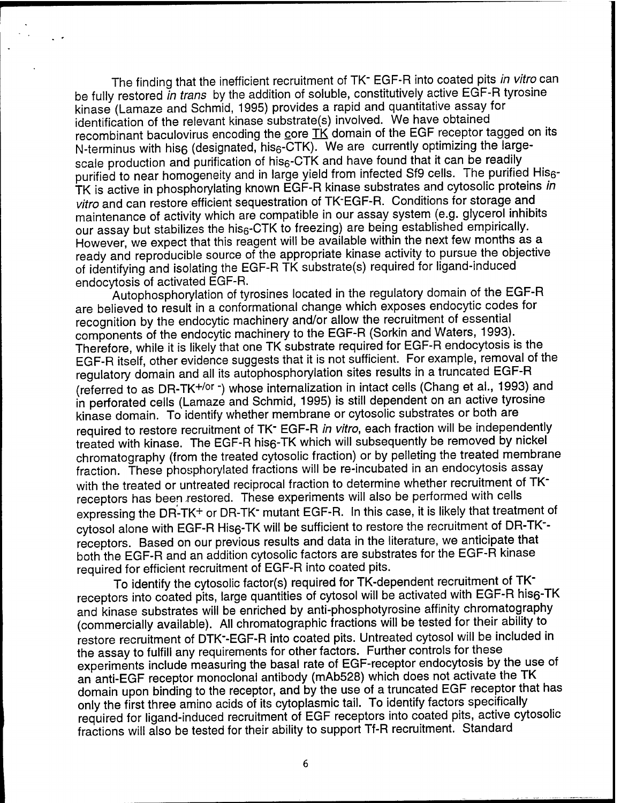The finding that the inefficient recruitment of TK\_ EGF-R into coated pits *in vitro* can be fully restored *in trans* by the addition of soluble, constitutively active EGF-R tyrosine kinase (Lamaze and Schmid, 1995) provides a rapid and quantitative assay for identification of the relevant kinase substrate(s) involved. We have obtained recombinant baculovirus encoding the core  $\overrightarrow{IK}$  domain of the EGF receptor tagged on its N-terminus with his6 (designated, his<sub>6</sub>-CTK). We are currently optimizing the largescale production and purification of his<sub>6</sub>-CTK and have found that it can be readily purified to near homogeneity and in large yield from infected Sf9 cells. The purified His6-TK is active in phosphorylating known EGF-R kinase substrates and cytosolic proteins *in vitro* and can restore efficient sequestration of TK'EGF-R. Conditions for storage and maintenance of activity which are compatible in our assay system (e.g. glycerol inhibits our assay but stabilizes the his<sub>6</sub>-CTK to freezing) are being established empirically. However, we expect that this reagent will be available within the next few months as a ready and reproducible source of the appropriate kinase activity to pursue the objective of identifying and isolating the EGF-R TK substrate(s) required for ligand-induced endocytosis of activated EGF-R.

Autophosphorylation of tyrosines located in the regulatory domain of the EGF-R are believed to result in a conformational change which exposes endocytic codes for recognition by the endocytic machinery and/or allow the recruitment of essential components of the endocytic machinery to the EGF-R (Sorkin and Waters, 1993). Therefore, while it is likely that one TK substrate required for EGF-R endocytosis is the EGF-R itself, other evidence suggests that it is not sufficient. For example, removal of the regulatory domain and all its autophosphorylation sites results in a truncated EGF-R (referred to as DR-TK+/or -) whose internalization in intact cells (Chang et al., 1993) and in perforated cells (Lamaze and Schmid, 1995) is still dependent on an active tyrosine kinase domain. To identify whether membrane or cytosolic substrates or both are required to restore recruitment of TK-EGF-R *in vitro,* each fraction will be independently treated with kinase. The EGF-R his6-TK which will subsequently be removed by nickel chromatography (from the treated cytosolic fraction) or by pelleting the treated membrane fraction. These phosphorylated fractions will be re-incubated in an endocytosis assay with the treated or untreated reciprocal fraction to determine whether recruitment of TKreceptors has been xestored. These experiments will also be performed with cells expressing the DR-TK+ or DR-TK<sup>-</sup> mutant EGF-R. In this case, it is likely that treatment of cytosol alone with EGF-R His6-TK will be sufficient to restore the recruitment of DR-TK-receptors. Based on our previous results and data in the literature, we anticipate that both the EGF-R and an addition cytosolic factors are substrates for the EGF-R kinase required for efficient recruitment of EGF-R into coated pits.

To identify the cytosolic factor(s) required for TK-dependent recruitment of TK" receptors into coated pits, large quantities of cytosol will be activated with EGF-R his6-TK and kinase substrates will be enriched by anti-phosphotyrosine affinity chromatography (commercially available). All Chromatographie fractions will be tested for their ability to restore recruitment of DTK'-EGF-R into coated pits. Untreated cytosol will be included in the assay to fulfill any requirements for other factors. Further controls for these experiments include measuring the basal rate of EGF-receptor endocytosis by the use of an anti-EGF receptor monoclonal antibody (mAb528) which does not activate the TK domain upon binding to the receptor, and by the use of a truncated EGF receptor that has only the first three amino acids of its cytoplasmic tail. To identify factors specifically required for ligand-induced recruitment of EGF receptors into coated pits, active cytosolic fractions will also be tested for their ability to support Tf-R recruitment. Standard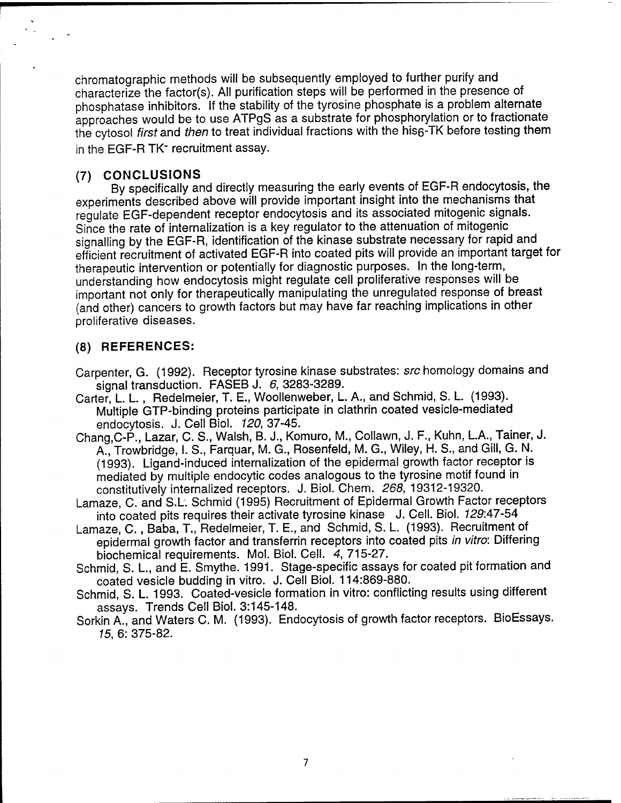Chromatographie methods will be subsequently employed to further purify and characterize the factor(s). All purification steps will be performed in the presence of phosphatase inhibitors. If the stability of the tyrosine phosphate is a problem alternate approaches would be to use ATPgS as a substrate for phosphorylation or to fractionate the cytosol *first* and *then* to treat individual fractions with the his6-TK before testing them in the EGF-R TK<sup>-</sup> recruitment assay.

# **(7) CONCLUSIONS**

By specifically and directly measuring the early events of EGF-R endocytosis, the experiments described above will provide important insight into the mechanisms that regulate EGF-dependent receptor endocytosis and its associated mitogenic signals. Since the rate of intemaiization is a key regulator to the attenuation of mitogenic signalling by the EGF-R, identification of the kinase substrate necessary for rapid and efficient recruitment of activated EGF-R into coated pits will provide an important target for therapeutic intervention or potentially for diagnostic purposes. In the long-term, understanding how endocytosis might regulate cell proliferative responses will be important not only for therapeutically manipulating the unregulated response of breast (and other) cancers to growth factors but may have far reaching implications in other proliferative diseases.

# **(8) REFERENCES:**

Carpenter, G. (1992). Receptor tyrosine kinase substrates: *sre* homology domains and signal transduction. FASEB J. *6,* 3283-3289.

- Carter, L. L., Redelmeier, T. E., Woollenweber, L. A., and Schmid, S. L. (1993). Multiple GTP-binding proteins participate in clathrin coated vesicle-mediated endocytosis. J. Cell Biol. *120,* 37-45.
- Chang, C-P., Lazar, C. S., Walsh, B. J., Komuro, M., Collawn, J. F., Kuhn, L.A., Tainer, J. A., Trowbridge, I. S., Farquar, M. G., Rosenfeld, M. G., Wiley, H. S., and Gill, G. N. (1993). Ligand-induced intemaiization of the epidermal growth factor receptor is mediated by multiple endocytic codes analogous to the tyrosine motif found in constitutively internalized receptors. J. Biol. Chem. *268,* 19312-19320.
- Lamaze, C. and S.L. Schmid (1995) Recruitment of Epidermal Growth Factor receptors into coated pits requires their activate tyrosine kinase J. Cell. Biol. *129:47-54*
- Lamaze, C., Baba, T., Redelmeier, T. E., and Schmid, S. L. (1993). Recruitment of epidermal growth factor and transferrin receptors into coated pits *in vitro:* Differing biochemical requirements. Mol. Biol. Cell. *4,* 715-27.
- Schmid, S. L, and E. Smythe. 1991. Stage-specific assays for coated pit formation and coated vesicle budding in vitro. J. Cell Biol. 114:869-880.
- Schmid, S. L. 1993. Coated-vesicle formation in vitro: conflicting results using different assays. Trends Cell Biol. 3:145-148.
- Sorkin A., and Waters C. M. (1993). Endocytosis of growth factor receptors. BioEssays. *15,* 6: 375-82.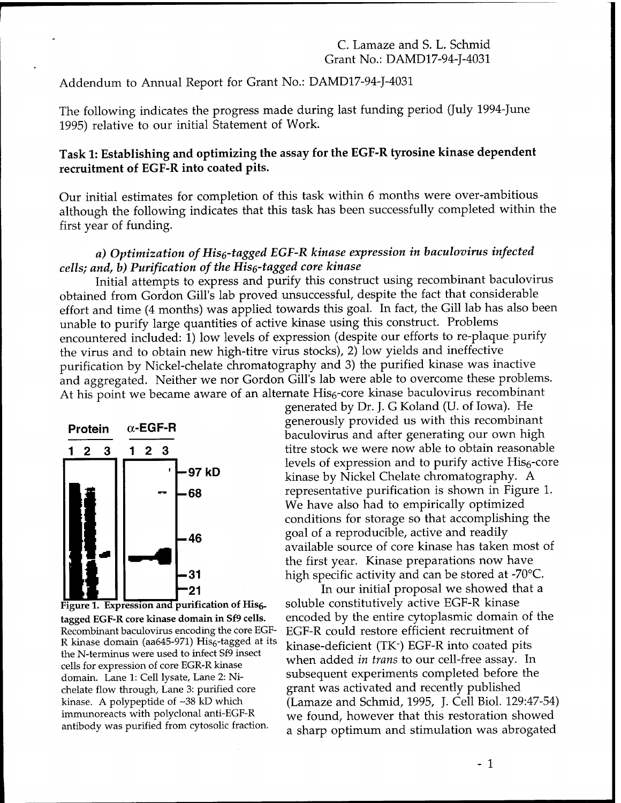### C. Lamaze and S. L. Schmid Grant No.: DAMD17-94-J-4031

Addendum to Annual Report for Grant No.: DAMD17-94-J-4031

The following indicates the progress made during last funding period (July 1994-June 1995) relative to our initial Statement of Work.

# **Task 1: Establishing and optimizing the assay for the EGF-R tyrosine kinase dependent recruitment of EGF-R into coated pits.**

Our initial estimates for completion of this task within 6 months were over-ambitious although the following indicates that this task has been successfully completed within the first year of funding.

# *a) Optimization of Hisß-tagged EGF-R kinase expression in baculovirus infected cells; and, b) Purification of the Hise-tagged core kinase*

Initial attempts to express and purify this construct using recombinant baculovirus obtained from Gordon Gill's lab proved unsuccessful, despite the fact that considerable effort and time (4 months) was applied towards this goal. In fact, the Gill lab has also been unable to purify large quantities of active kinase using this construct. Problems encountered included: 1) low levels of expression (despite our efforts to re-plaque, purify the virus and to obtain new high-titre virus stocks), 2) low yields and ineffective purification by Nickel-chelate chromatography and 3) the purified kinase was inactive and aggregated. Neither we nor Gordon Gill's lab were able to overcome these problems. At his point we became aware of an alternate His<sub>6</sub>-core kinase baculovirus recombinant



Figure 1. Expression and purification of His<sub>6</sub>. **tagged EGF-R core kinase domain in Sf9 cells.** Recombinant baculovirus encoding the core EGF-R kinase domain (aa645-971) Hisg-tagged at its the N-terminus were used to infect Sf9 insect cells for expression of core EGR-R kinase domain. Lane 1: Cell lysate, Lane 2: Nichelate flow through, Lane 3: purified core kinase. A polypeptide of  $~58$  kD which immunoreacts with polyclonal anti-EGF-R antibody was purified from cytosolic fraction.

generated by Dr. J. G Koland (U. of Iowa). He generously provided us with this recombinant baculovirus and after generating our own high titre stock we were now able to obtain reasonable levels of expression and to purify active His<sub>6</sub>-core kinase by Nickel Chelate chromatography. A **68 EXECUTE:** representative purification is shown in Figure 1. We have also had to empirically optimized conditions for storage so that accomplishing the  $B = 46$  goal of a reproducible, active and readily available source of core kinase has taken most of the first year. Kinase preparations now have high specific activity and can be stored at -70°C.

> In our initial proposal we showed that a soluble constitutively active EGF-R kinase encoded by the entire cytoplasmic domain of the EGF-R could restore efficient recruitment of kinase-deficient (TK~) EGF-R into coated pits when added *in trans* to our cell-free assay. In subsequent experiments completed before the grant was activated and recently published (Lamaze and Schmid, 1995, J. Cell Biol. 129:47-54) we found, however that this restoration showed a sharp optimum and stimulation was abrogated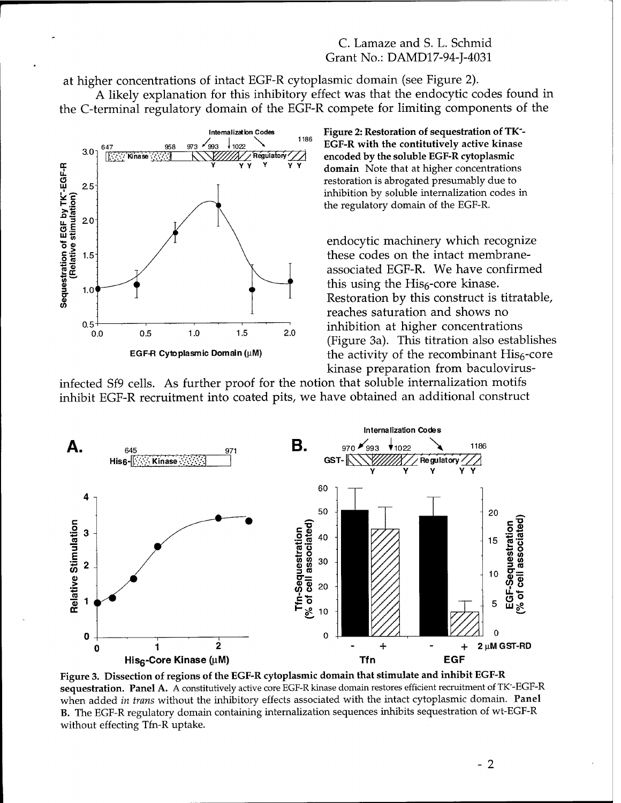# C. Lamaze and S. L. Schmid Grant No.: DAMD17-94-I-4031

at higher concentrations of intact EGF-R cytoplasmic domain (see Figure 2).

A likely explanation for this inhibitory effect was that the endocytic codes found in the C-terminal regulatory domain of the EGF-R compete for limiting components of the



Figure 2: Restoration of sequestration of TK-EGF-R with the contitutively active kinase encoded by the soluble EGF-R cytoplasmic domain Note that at higher concentrations restoration is abrogated presumably due to inhibition by soluble internalization codes in the regulatory domain of the EGF-R.

endocytic machinery which recognize these codes on the intact membraneassociated EGF-R. We have confirmed this using the His<sub>6</sub>-core kinase. Restoration by this construct is titratable, reaches saturation and shows no inhibition at higher concentrations (Figure 3a). This titration also establishes the activity of the recombinant  $His<sub>6</sub> - core$ kinase preparation from baculovirus-

infected Sf9 cells. As further proof for the notion that soluble internalization motifs inhibit EGF-R recruitment into coated pits, we have obtained an additional construct



Figure 3. Dissection of regions of the EGF-R cytoplasmic domain that stimulate and inhibit EGF-R sequestration. Panel A. A constitutively active core EGF-R kinase domain restores efficient recruitment of TK-EGF-R when added in trans without the inhibitory effects associated with the intact cytoplasmic domain. Panel **B.** The EGF-R regulatory domain containing internalization sequences inhibits sequestration of wt-EGF-R without effecting Tfn-R uptake.